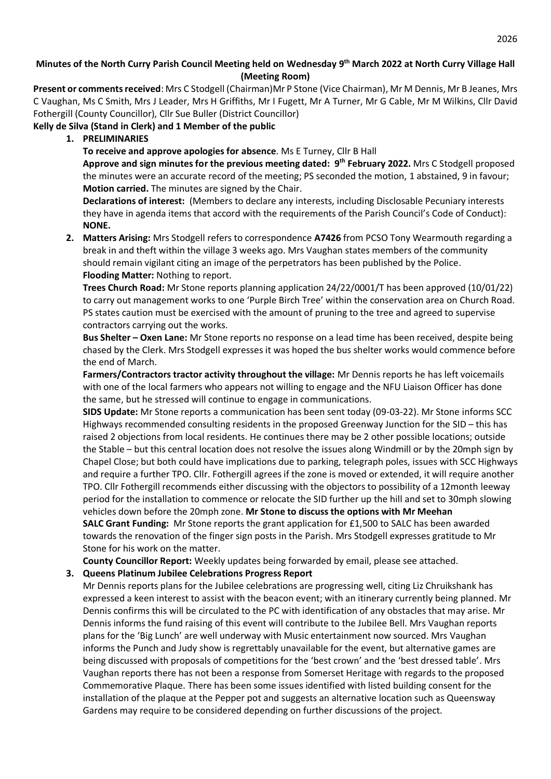# **Minutes of the North Curry Parish Council Meeting held on Wednesday 9 th March 2022 at North Curry Village Hall (Meeting Room)**

**Present or comments received**: Mrs C Stodgell (Chairman)Mr P Stone (Vice Chairman), Mr M Dennis, Mr B Jeanes, Mrs C Vaughan, Ms C Smith, Mrs J Leader, Mrs H Griffiths, Mr I Fugett, Mr A Turner, Mr G Cable, Mr M Wilkins, Cllr David Fothergill (County Councillor), Cllr Sue Buller (District Councillor)

#### **Kelly de Silva (Stand in Clerk) and 1 Member of the public**

**1. PRELIMINARIES**

**To receive and approve apologies for absence**. Ms E Turney, Cllr B Hall

**Approve and sign minutes for the previous meeting dated: 9 th February 2022.** Mrs C Stodgell proposed the minutes were an accurate record of the meeting; PS seconded the motion, 1 abstained, 9 in favour; **Motion carried.** The minutes are signed by the Chair.

**Declarations of interest:** (Members to declare any interests, including Disclosable Pecuniary interests they have in agenda items that accord with the requirements of the Parish Council's Code of Conduct): **NONE.**

**2. Matters Arising:** Mrs Stodgell refers to correspondence **A7426** from PCSO Tony Wearmouth regarding a break in and theft within the village 3 weeks ago. Mrs Vaughan states members of the community should remain vigilant citing an image of the perpetrators has been published by the Police. **Flooding Matter:** Nothing to report.

**Trees Church Road:** Mr Stone reports planning application 24/22/0001/T has been approved (10/01/22) to carry out management works to one 'Purple Birch Tree' within the conservation area on Church Road. PS states caution must be exercised with the amount of pruning to the tree and agreed to supervise contractors carrying out the works.

**Bus Shelter – Oxen Lane:** Mr Stone reports no response on a lead time has been received, despite being chased by the Clerk. Mrs Stodgell expresses it was hoped the bus shelter works would commence before the end of March.

**Farmers/Contractors tractor activity throughout the village:** Mr Dennis reports he has left voicemails with one of the local farmers who appears not willing to engage and the NFU Liaison Officer has done the same, but he stressed will continue to engage in communications.

**SIDS Update:** Mr Stone reports a communication has been sent today (09-03-22). Mr Stone informs SCC Highways recommended consulting residents in the proposed Greenway Junction for the SID – this has raised 2 objections from local residents. He continues there may be 2 other possible locations; outside the Stable – but this central location does not resolve the issues along Windmill or by the 20mph sign by Chapel Close; but both could have implications due to parking, telegraph poles, issues with SCC Highways and require a further TPO. Cllr. Fothergill agrees if the zone is moved or extended, it will require another TPO. Cllr Fothergill recommends either discussing with the objectors to possibility of a 12month leeway period for the installation to commence or relocate the SID further up the hill and set to 30mph slowing vehicles down before the 20mph zone. **Mr Stone to discuss the options with Mr Meehan SALC Grant Funding:** Mr Stone reports the grant application for £1,500 to SALC has been awarded towards the renovation of the finger sign posts in the Parish. Mrs Stodgell expresses gratitude to Mr Stone for his work on the matter.

**County Councillor Report:** Weekly updates being forwarded by email, please see attached.

#### **3. Queens Platinum Jubilee Celebrations Progress Report**

Mr Dennis reports plans for the Jubilee celebrations are progressing well, citing Liz Chruikshank has expressed a keen interest to assist with the beacon event; with an itinerary currently being planned. Mr Dennis confirms this will be circulated to the PC with identification of any obstacles that may arise. Mr Dennis informs the fund raising of this event will contribute to the Jubilee Bell. Mrs Vaughan reports plans for the 'Big Lunch' are well underway with Music entertainment now sourced. Mrs Vaughan informs the Punch and Judy show is regrettably unavailable for the event, but alternative games are being discussed with proposals of competitions for the 'best crown' and the 'best dressed table'. Mrs Vaughan reports there has not been a response from Somerset Heritage with regards to the proposed Commemorative Plaque. There has been some issues identified with listed building consent for the installation of the plaque at the Pepper pot and suggests an alternative location such as Queensway Gardens may require to be considered depending on further discussions of the project.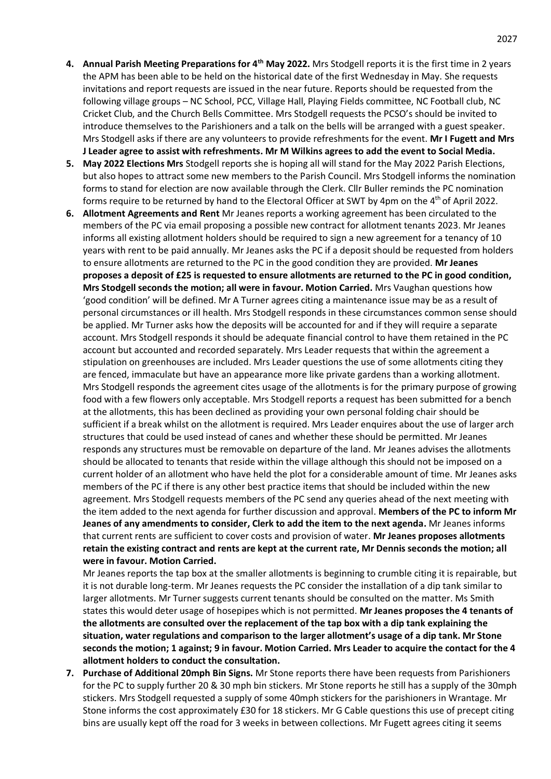- **4. Annual Parish Meeting Preparations for 4th May 2022.** Mrs Stodgell reports it is the first time in 2 years the APM has been able to be held on the historical date of the first Wednesday in May. She requests invitations and report requests are issued in the near future. Reports should be requested from the following village groups – NC School, PCC, Village Hall, Playing Fields committee, NC Football club, NC Cricket Club, and the Church Bells Committee. Mrs Stodgell requests the PCSO's should be invited to introduce themselves to the Parishioners and a talk on the bells will be arranged with a guest speaker. Mrs Stodgell asks if there are any volunteers to provide refreshments for the event. **Mr I Fugett and Mrs J Leader agree to assist with refreshments. Mr M Wilkins agrees to add the event to Social Media.**
- **5. May 2022 Elections Mrs** Stodgell reports she is hoping all will stand for the May 2022 Parish Elections, but also hopes to attract some new members to the Parish Council. Mrs Stodgell informs the nomination forms to stand for election are now available through the Clerk. Cllr Buller reminds the PC nomination forms require to be returned by hand to the Electoral Officer at SWT by 4pm on the 4<sup>th</sup> of April 2022.
- **6. Allotment Agreements and Rent** Mr Jeanes reports a working agreement has been circulated to the members of the PC via email proposing a possible new contract for allotment tenants 2023. Mr Jeanes informs all existing allotment holders should be required to sign a new agreement for a tenancy of 10 years with rent to be paid annually. Mr Jeanes asks the PC if a deposit should be requested from holders to ensure allotments are returned to the PC in the good condition they are provided. **Mr Jeanes proposes a deposit of £25 is requested to ensure allotments are returned to the PC in good condition, Mrs Stodgell seconds the motion; all were in favour. Motion Carried.** Mrs Vaughan questions how 'good condition' will be defined. Mr A Turner agrees citing a maintenance issue may be as a result of personal circumstances or ill health. Mrs Stodgell responds in these circumstances common sense should be applied. Mr Turner asks how the deposits will be accounted for and if they will require a separate account. Mrs Stodgell responds it should be adequate financial control to have them retained in the PC account but accounted and recorded separately. Mrs Leader requests that within the agreement a stipulation on greenhouses are included. Mrs Leader questions the use of some allotments citing they are fenced, immaculate but have an appearance more like private gardens than a working allotment. Mrs Stodgell responds the agreement cites usage of the allotments is for the primary purpose of growing food with a few flowers only acceptable. Mrs Stodgell reports a request has been submitted for a bench at the allotments, this has been declined as providing your own personal folding chair should be sufficient if a break whilst on the allotment is required. Mrs Leader enquires about the use of larger arch structures that could be used instead of canes and whether these should be permitted. Mr Jeanes responds any structures must be removable on departure of the land. Mr Jeanes advises the allotments should be allocated to tenants that reside within the village although this should not be imposed on a current holder of an allotment who have held the plot for a considerable amount of time. Mr Jeanes asks members of the PC if there is any other best practice items that should be included within the new agreement. Mrs Stodgell requests members of the PC send any queries ahead of the next meeting with the item added to the next agenda for further discussion and approval. **Members of the PC to inform Mr Jeanes of any amendments to consider, Clerk to add the item to the next agenda.** Mr Jeanes informs that current rents are sufficient to cover costs and provision of water. **Mr Jeanes proposes allotments retain the existing contract and rents are kept at the current rate, Mr Dennis seconds the motion; all were in favour. Motion Carried.**

Mr Jeanes reports the tap box at the smaller allotments is beginning to crumble citing it is repairable, but it is not durable long-term. Mr Jeanes requests the PC consider the installation of a dip tank similar to larger allotments. Mr Turner suggests current tenants should be consulted on the matter. Ms Smith states this would deter usage of hosepipes which is not permitted. **Mr Jeanes proposes the 4 tenants of the allotments are consulted over the replacement of the tap box with a dip tank explaining the situation, water regulations and comparison to the larger allotment's usage of a dip tank. Mr Stone seconds the motion; 1 against; 9 in favour. Motion Carried. Mrs Leader to acquire the contact for the 4 allotment holders to conduct the consultation.**

**7. Purchase of Additional 20mph Bin Signs.** Mr Stone reports there have been requests from Parishioners for the PC to supply further 20 & 30 mph bin stickers. Mr Stone reports he still has a supply of the 30mph stickers. Mrs Stodgell requested a supply of some 40mph stickers for the parishioners in Wrantage. Mr Stone informs the cost approximately £30 for 18 stickers. Mr G Cable questions this use of precept citing bins are usually kept off the road for 3 weeks in between collections. Mr Fugett agrees citing it seems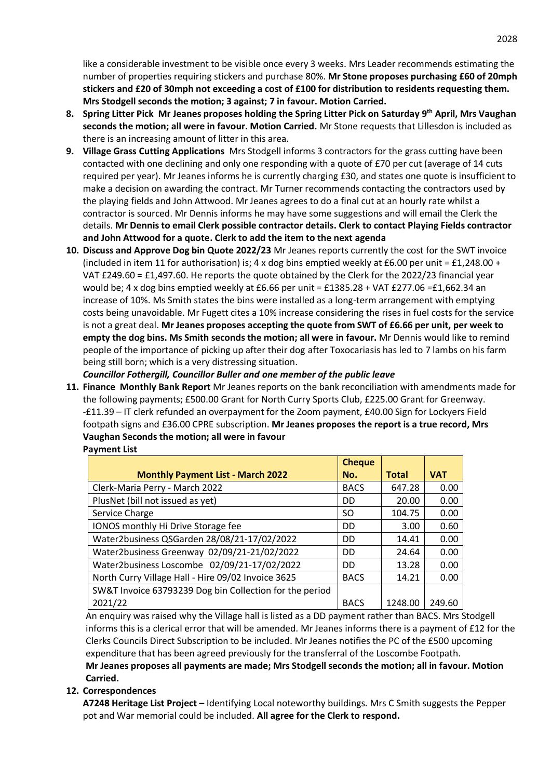like a considerable investment to be visible once every 3 weeks. Mrs Leader recommends estimating the number of properties requiring stickers and purchase 80%. **Mr Stone proposes purchasing £60 of 20mph stickers and £20 of 30mph not exceeding a cost of £100 for distribution to residents requesting them. Mrs Stodgell seconds the motion; 3 against; 7 in favour. Motion Carried.**

- **8. Spring Litter Pick Mr Jeanes proposes holding the Spring Litter Pick on Saturday 9 th April, Mrs Vaughan seconds the motion; all were in favour. Motion Carried.** Mr Stone requests that Lillesdon is included as there is an increasing amount of litter in this area.
- **9. Village Grass Cutting Applications** Mrs Stodgell informs 3 contractors for the grass cutting have been contacted with one declining and only one responding with a quote of £70 per cut (average of 14 cuts required per year). Mr Jeanes informs he is currently charging £30, and states one quote is insufficient to make a decision on awarding the contract. Mr Turner recommends contacting the contractors used by the playing fields and John Attwood. Mr Jeanes agrees to do a final cut at an hourly rate whilst a contractor is sourced. Mr Dennis informs he may have some suggestions and will email the Clerk the details. **Mr Dennis to email Clerk possible contractor details. Clerk to contact Playing Fields contractor and John Attwood for a quote. Clerk to add the item to the next agenda**
- **10. Discuss and Approve Dog bin Quote 2022/23** Mr Jeanes reports currently the cost for the SWT invoice (included in item 11 for authorisation) is; 4 x dog bins emptied weekly at £6.00 per unit = £1,248.00 + VAT £249.60 = £1,497.60. He reports the quote obtained by the Clerk for the 2022/23 financial year would be; 4 x dog bins emptied weekly at £6.66 per unit = £1385.28 + VAT £277.06 = £1,662.34 an increase of 10%. Ms Smith states the bins were installed as a long-term arrangement with emptying costs being unavoidable. Mr Fugett cites a 10% increase considering the rises in fuel costs for the service is not a great deal. **Mr Jeanes proposes accepting the quote from SWT of £6.66 per unit, per week to empty the dog bins. Ms Smith seconds the motion; all were in favour.** Mr Dennis would like to remind people of the importance of picking up after their dog after Toxocariasis has led to 7 lambs on his farm being still born; which is a very distressing situation.

## *Councillor Fothergill, Councillor Buller and one member of the public leave*

**11. Finance Monthly Bank Report** Mr Jeanes reports on the bank reconciliation with amendments made for the following payments; £500.00 Grant for North Curry Sports Club, £225.00 Grant for Greenway. -£11.39 – IT clerk refunded an overpayment for the Zoom payment, £40.00 Sign for Lockyers Field footpath signs and £36.00 CPRE subscription. **Mr Jeanes proposes the report is a true record, Mrs Vaughan Seconds the motion; all were in favour Payment List**

|                                                         | <b>Cheque</b> |              |            |
|---------------------------------------------------------|---------------|--------------|------------|
| <b>Monthly Payment List - March 2022</b>                | No.           | <b>Total</b> | <b>VAT</b> |
| Clerk-Maria Perry - March 2022                          | <b>BACS</b>   | 647.28       | 0.00       |
| PlusNet (bill not issued as yet)                        | DD.           | 20.00        | 0.00       |
| Service Charge                                          | SO.           | 104.75       | 0.00       |
| IONOS monthly Hi Drive Storage fee                      | DD            | 3.00         | 0.60       |
| Water2business QSGarden 28/08/21-17/02/2022             | DD            | 14.41        | 0.00       |
| Water2business Greenway 02/09/21-21/02/2022             | DD            | 24.64        | 0.00       |
| Water2business Loscombe 02/09/21-17/02/2022             | DD.           | 13.28        | 0.00       |
| North Curry Village Hall - Hire 09/02 Invoice 3625      | <b>BACS</b>   | 14.21        | 0.00       |
| SW&T Invoice 63793239 Dog bin Collection for the period |               |              |            |
| 2021/22                                                 | <b>BACS</b>   | 1248.00      | 249.60     |

An enquiry was raised why the Village hall is listed as a DD payment rather than BACS. Mrs Stodgell informs this is a clerical error that will be amended. Mr Jeanes informs there is a payment of £12 for the Clerks Councils Direct Subscription to be included. Mr Jeanes notifies the PC of the £500 upcoming expenditure that has been agreed previously for the transferral of the Loscombe Footpath. **Mr Jeanes proposes all payments are made; Mrs Stodgell seconds the motion; all in favour. Motion Carried.**

## **12. Correspondences**

**A7248 Heritage List Project –** Identifying Local noteworthy buildings. Mrs C Smith suggests the Pepper pot and War memorial could be included. **All agree for the Clerk to respond.**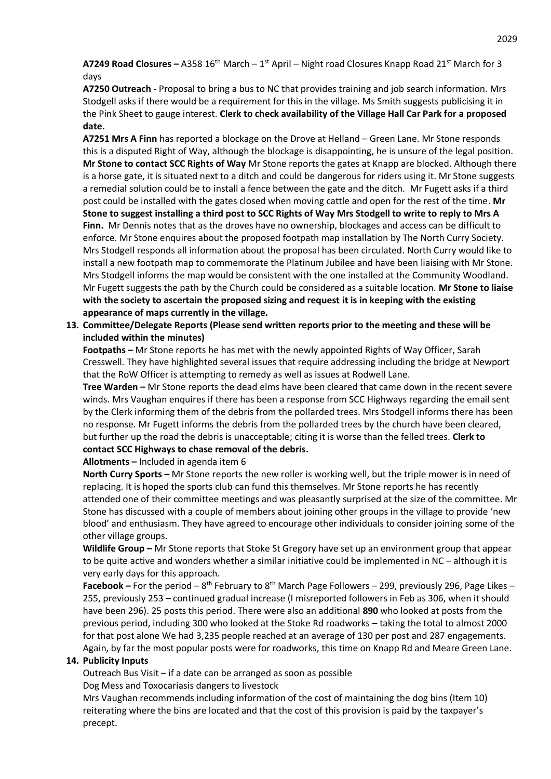**A7249 Road Closures** – A358 16<sup>th</sup> March – 1<sup>st</sup> April – Night road Closures Knapp Road 21<sup>st</sup> March for 3 days

**A7250 Outreach -** Proposal to bring a bus to NC that provides training and job search information. Mrs Stodgell asks if there would be a requirement for this in the village. Ms Smith suggests publicising it in the Pink Sheet to gauge interest. **Clerk to check availability of the Village Hall Car Park for a proposed date.**

**A7251 Mrs A Finn** has reported a blockage on the Drove at Helland – Green Lane. Mr Stone responds this is a disputed Right of Way, although the blockage is disappointing, he is unsure of the legal position. **Mr Stone to contact SCC Rights of Way** Mr Stone reports the gates at Knapp are blocked. Although there is a horse gate, it is situated next to a ditch and could be dangerous for riders using it. Mr Stone suggests a remedial solution could be to install a fence between the gate and the ditch. Mr Fugett asks if a third post could be installed with the gates closed when moving cattle and open for the rest of the time. **Mr Stone to suggest installing a third post to SCC Rights of Way Mrs Stodgell to write to reply to Mrs A Finn.** Mr Dennis notes that as the droves have no ownership, blockages and access can be difficult to enforce. Mr Stone enquires about the proposed footpath map installation by The North Curry Society. Mrs Stodgell responds all information about the proposal has been circulated. North Curry would like to install a new footpath map to commemorate the Platinum Jubilee and have been liaising with Mr Stone. Mrs Stodgell informs the map would be consistent with the one installed at the Community Woodland. Mr Fugett suggests the path by the Church could be considered as a suitable location. **Mr Stone to liaise with the society to ascertain the proposed sizing and request it is in keeping with the existing appearance of maps currently in the village.**

**13. Committee/Delegate Reports (Please send written reports prior to the meeting and these will be included within the minutes)**

**Footpaths –** Mr Stone reports he has met with the newly appointed Rights of Way Officer, Sarah Cresswell. They have highlighted several issues that require addressing including the bridge at Newport that the RoW Officer is attempting to remedy as well as issues at Rodwell Lane.

**Tree Warden –** Mr Stone reports the dead elms have been cleared that came down in the recent severe winds. Mrs Vaughan enquires if there has been a response from SCC Highways regarding the email sent by the Clerk informing them of the debris from the pollarded trees. Mrs Stodgell informs there has been no response. Mr Fugett informs the debris from the pollarded trees by the church have been cleared, but further up the road the debris is unacceptable; citing it is worse than the felled trees. **Clerk to contact SCC Highways to chase removal of the debris.**

**Allotments –** Included in agenda item 6

**North Curry Sports –** Mr Stone reports the new roller is working well, but the triple mower is in need of replacing. It is hoped the sports club can fund this themselves. Mr Stone reports he has recently attended one of their committee meetings and was pleasantly surprised at the size of the committee. Mr Stone has discussed with a couple of members about joining other groups in the village to provide 'new blood' and enthusiasm. They have agreed to encourage other individuals to consider joining some of the other village groups.

**Wildlife Group –** Mr Stone reports that Stoke St Gregory have set up an environment group that appear to be quite active and wonders whether a similar initiative could be implemented in NC – although it is very early days for this approach.

Facebook – For the period – 8<sup>th</sup> February to 8<sup>th</sup> March Page Followers – 299, previously 296, Page Likes – 255, previously 253 – continued gradual increase (I misreported followers in Feb as 306, when it should have been 296). 25 posts this period. There were also an additional **890** who looked at posts from the previous period, including 300 who looked at the Stoke Rd roadworks – taking the total to almost 2000 for that post alone We had 3,235 people reached at an average of 130 per post and 287 engagements. Again, by far the most popular posts were for roadworks, this time on Knapp Rd and Meare Green Lane.

## **14. Publicity Inputs**

Outreach Bus Visit – if a date can be arranged as soon as possible Dog Mess and Toxocariasis dangers to livestock

Mrs Vaughan recommends including information of the cost of maintaining the dog bins (Item 10) reiterating where the bins are located and that the cost of this provision is paid by the taxpayer's precept.